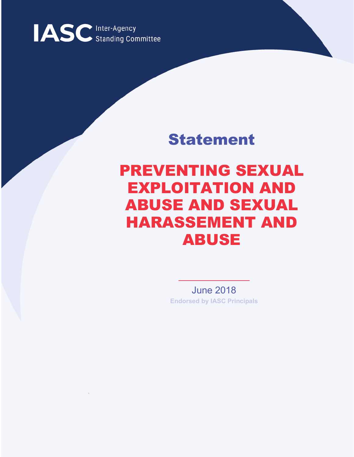

## Statement

# PREVENTING SEXUAL EXPLOITATION AND ABUSE AND SEXUAL HARASSEMENT AND ABUSE

June 2018 **Endorsed by IASC Principals**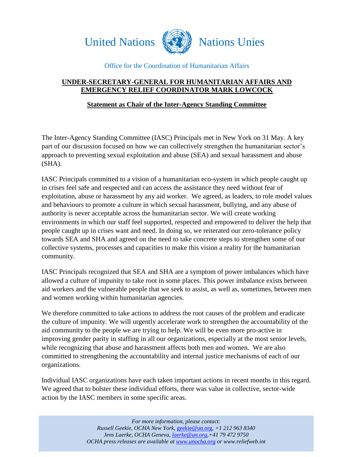



#### Office for the Coordination of Humanitarian Affairs

### **UNDER-SECRETARY-GENERAL FOR HUMANITARIAN AFFAIRS AND EMERGENCY RELIEF COORDINATOR MARK LOWCOCK**

#### **Statement as Chair of the Inter-Agency Standing Committee**

The Inter-Agency Standing Committee (IASC) Principals met in New York on 31 May. A key part of our discussion focused on how we can collectively strengthen the humanitarian sector's approach to preventing sexual exploitation and abuse (SEA) and sexual harassment and abuse (SHA).

IASC Principals committed to a vision of a humanitarian eco-system in which people caught up in crises feel safe and respected and can access the assistance they need without fear of exploitation, abuse or harassment by any aid worker. We agreed, as leaders, to role model values and behaviours to promote a culture in which sexual harassment, bullying, and any abuse of authority is never acceptable across the humanitarian sector. We will create working environments in which our staff feel supported, respected and empowered to deliver the help that people caught up in crises want and need. In doing so, we reiterated our zero-tolerance policy towards SEA and SHA and agreed on the need to take concrete steps to strengthen some of our collective systems, processes and capacities to make this vision a reality for the humanitarian community.

IASC Principals recognized that SEA and SHA are a symptom of power imbalances which have allowed a culture of impunity to take root in some places. This power imbalance exists between aid workers and the vulnerable people that we seek to assist, as well as, sometimes, between men and women working within humanitarian agencies.

We therefore committed to take actions to address the root causes of the problem and eradicate the culture of impunity. We will urgently accelerate work to strengthen the accountability of the aid community to the people we are trying to help. We will be even more pro-active in improving gender parity in staffing in all our organizations, especially at the most senior levels, while recognizing that abuse and harassment affects both men and women. We are also committed to strengthening the accountability and internal justice mechanisms of each of our organizations.

Individual IASC organizations have each taken important actions in recent months in this regard. We agreed that to bolster these individual efforts, there was value in collective, sector-wide action by the IASC members in some specific areas.

> *For more information, please contact: Russell Geekie, OCHA New York,* [geekie@un.org](mailto:geekie@un.org)*, +1 212 963 8340 Jens Laerke, OCHA Geneva, [laerke@un.org,](mailto:laerke@un.org)+41 79 472 9750 OCHA press releases are available at [www.unocha.org](http://www.unocha.org/) or www.reliefweb.int*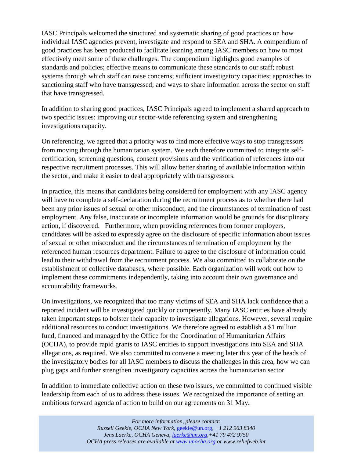IASC Principals welcomed the structured and systematic sharing of good practices on how individual IASC agencies prevent, investigate and respond to SEA and SHA. A compendium of good practices has been produced to facilitate learning among IASC members on how to most effectively meet some of these challenges. The compendium highlights good examples of standards and policies; effective means to communicate these standards to our staff; robust systems through which staff can raise concerns; sufficient investigatory capacities; approaches to sanctioning staff who have transgressed; and ways to share information across the sector on staff that have transgressed.

In addition to sharing good practices, IASC Principals agreed to implement a shared approach to two specific issues: improving our sector-wide referencing system and strengthening investigations capacity.

On referencing, we agreed that a priority was to find more effective ways to stop transgressors from moving through the humanitarian system. We each therefore committed to integrate selfcertification, screening questions, consent provisions and the verification of references into our respective recruitment processes. This will allow better sharing of available information within the sector, and make it easier to deal appropriately with transgressors.

In practice, this means that candidates being considered for employment with any IASC agency will have to complete a self-declaration during the recruitment process as to whether there had been any prior issues of sexual or other misconduct, and the circumstances of termination of past employment. Any false, inaccurate or incomplete information would be grounds for disciplinary action, if discovered. Furthermore, when providing references from former employers, candidates will be asked to expressly agree on the disclosure of specific information about issues of sexual or other misconduct and the circumstances of termination of employment by the referenced human resources department. Failure to agree to the disclosure of information could lead to their withdrawal from the recruitment process. We also committed to collaborate on the establishment of collective databases, where possible. Each organization will work out how to implement these commitments independently, taking into account their own governance and accountability frameworks.

On investigations, we recognized that too many victims of SEA and SHA lack confidence that a reported incident will be investigated quickly or competently. Many IASC entities have already taken important steps to bolster their capacity to investigate allegations. However, several require additional resources to conduct investigations. We therefore agreed to establish a \$1 million fund, financed and managed by the Office for the Coordination of Humanitarian Affairs (OCHA), to provide rapid grants to IASC entities to support investigations into SEA and SHA allegations, as required. We also committed to convene a meeting later this year of the heads of the investigatory bodies for all IASC members to discuss the challenges in this area, how we can plug gaps and further strengthen investigatory capacities across the humanitarian sector.

In addition to immediate collective action on these two issues, we committed to continued visible leadership from each of us to address these issues. We recognized the importance of setting an ambitious forward agenda of action to build on our agreements on 31 May.

> *For more information, please contact: Russell Geekie, OCHA New York,* [geekie@un.org](mailto:geekie@un.org)*, +1 212 963 8340 Jens Laerke, OCHA Geneva, [laerke@un.org,](mailto:laerke@un.org)+41 79 472 9750 OCHA press releases are available at [www.unocha.org](http://www.unocha.org/) or www.reliefweb.int*